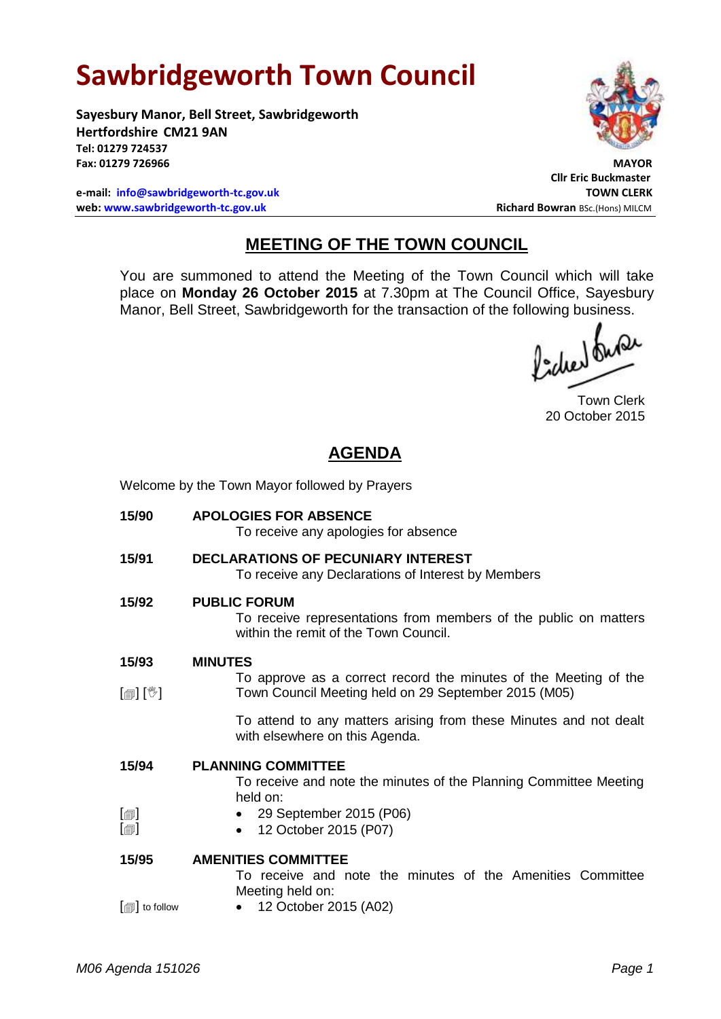# **Sawbridgeworth Town Council**

Welcome by the Town Mayor followed by Prayers

**Sayesbury Manor, Bell Street, Sawbridgeworth Hertfordshire CM21 9AN Tel: 01279 724537 Fax: 01279 726966 MAYOR**

**e-mail: [info@sawbridgeworth-tc.gov.uk](mailto:info@sawbridgeworth-tc.gov.uk) TOWN CLERK web: www.sawbridgeworth-tc.gov.uk Richard Bowran BSc.(Hons) MILCM Richard Bowran BSc.(Hons) MILCM** 



**Cllr Eric Buckmaster**

## **MEETING OF THE TOWN COUNCIL**

You are summoned to attend the Meeting of the Town Council which will take place on **Monday 26 October 2015** at 7.30pm at The Council Office, Sayesbury Manor, Bell Street, Sawbridgeworth for the transaction of the following business.<br>  $\int_{\mathbb{R}^2} \int_{\mathbb{R}^2} \int_{\mathbb{R}^2} \int_{\mathbb{R}^2} \int_{\mathbb{R}^2}$ 

Town Clerk 20 October 2015

## **AGENDA**

| 15/90                      | <b>APOLOGIES FOR ABSENCE</b><br>To receive any apologies for absence                                                             |
|----------------------------|----------------------------------------------------------------------------------------------------------------------------------|
| 15/91                      | <b>DECLARATIONS OF PECUNIARY INTEREST</b><br>To receive any Declarations of Interest by Members                                  |
| 15/92                      | <b>PUBLIC FORUM</b><br>To receive representations from members of the public on matters<br>within the remit of the Town Council. |
| 15/93                      | <b>MINUTES</b>                                                                                                                   |
|                            | To approve as a correct record the minutes of the Meeting of the                                                                 |
| $\mathbb{D}[\mathbb{D}^1]$ | Town Council Meeting held on 29 September 2015 (M05)                                                                             |
|                            | To attend to any matters arising from these Minutes and not dealt<br>with elsewhere on this Agenda.                              |
| 15/94                      | <b>PLANNING COMMITTEE</b><br>To receive and note the minutes of the Planning Committee Meeting<br>held on:                       |
| $\lbrack \oplus \rbrack$   | • 29 September 2015 (P06)                                                                                                        |
| $[\blacksquare]$           | 12 October 2015 (P07)                                                                                                            |
| 15/95                      | <b>AMENITIES COMMITTEE</b><br>To receive and note the minutes of the Amenities Committee<br>Meeting held on:                     |
| $[\text{m}]$ to follow     | 12 October 2015 (A02)<br>$\bullet$                                                                                               |